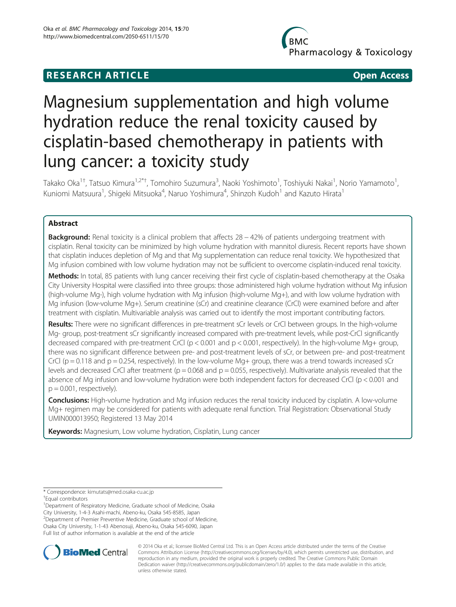# **RESEARCH ARTICLE CONSUMING A RESEARCH ARTICLE**

Pharmacology & Toxicology

# Magnesium supplementation and high volume hydration reduce the renal toxicity caused by cisplatin-based chemotherapy in patients with lung cancer: a toxicity study

Takako Oka<sup>1†</sup>, Tatsuo Kimura<sup>1,2\*†</sup>, Tomohiro Suzumura<sup>3</sup>, Naoki Yoshimoto<sup>1</sup>, Toshiyuki Nakai<sup>1</sup>, Norio Yamamoto<sup>1</sup> , Kuniomi Matsuura<sup>1</sup>, Shigeki Mitsuoka<sup>4</sup>, Naruo Yoshimura<sup>4</sup>, Shinzoh Kudoh<sup>1</sup> and Kazuto Hirata<sup>1</sup>

# Abstract

Background: Renal toxicity is a clinical problem that affects 28 − 42% of patients undergoing treatment with cisplatin. Renal toxicity can be minimized by high volume hydration with mannitol diuresis. Recent reports have shown that cisplatin induces depletion of Mg and that Mg supplementation can reduce renal toxicity. We hypothesized that Mg infusion combined with low volume hydration may not be sufficient to overcome cisplatin-induced renal toxicity.

Methods: In total, 85 patients with lung cancer receiving their first cycle of cisplatin-based chemotherapy at the Osaka City University Hospital were classified into three groups: those administered high volume hydration without Mg infusion (high-volume Mg-), high volume hydration with Mg infusion (high-volume Mg+), and with low volume hydration with Mg infusion (low-volume Mg+). Serum creatinine (sCr) and creatinine clearance (CrCl) were examined before and after treatment with cisplatin. Multivariable analysis was carried out to identify the most important contributing factors.

Results: There were no significant differences in pre-treatment sCr levels or CrCl between groups. In the high-volume Mg- group, post-treatment sCr significantly increased compared with pre-treatment levels, while post-CrCl significantly decreased compared with pre-treatment CrCl (p < 0.001 and p < 0.001, respectively). In the high-volume Mg+ group, there was no significant difference between pre- and post-treatment levels of sCr, or between pre- and post-treatment CrCl ( $p = 0.118$  and  $p = 0.254$ , respectively). In the low-volume Mq+ group, there was a trend towards increased sCr levels and decreased CrCl after treatment ( $p = 0.068$  and  $p = 0.055$ , respectively). Multivariate analysis revealed that the absence of Mg infusion and low-volume hydration were both independent factors for decreased CrCl (p < 0.001 and  $p = 0.001$ , respectively).

Conclusions: High-volume hydration and Mg infusion reduces the renal toxicity induced by cisplatin. A low-volume Mg+ regimen may be considered for patients with adequate renal function. Trial Registration: Observational Study UMIN000013950; Registered 13 May 2014

Keywords: Magnesium, Low volume hydration, Cisplatin, Lung cancer

\* Correspondence: [kimutats@med.osaka-cu.ac.jp](mailto:kimutats@med.osaka-cu.ac.jp) †

Equal contributors

<sup>1</sup>Department of Respiratory Medicine, Graduate school of Medicine, Osaka City University, 1-4-3 Asahi-machi, Abeno-ku, Osaka 545-8585, Japan 2 Department of Premier Preventive Medicine, Graduate school of Medicine, Osaka City University, 1-1-43 Abenosuji, Abeno-ku, Osaka 545-6090, Japan Full list of author information is available at the end of the article



© 2014 Oka et al.; licensee BioMed Central Ltd. This is an Open Access article distributed under the terms of the Creative Commons Attribution License [\(http://creativecommons.org/licenses/by/4.0\)](http://creativecommons.org/licenses/by/4.0), which permits unrestricted use, distribution, and reproduction in any medium, provided the original work is properly credited. The Creative Commons Public Domain Dedication waiver [\(http://creativecommons.org/publicdomain/zero/1.0/](http://creativecommons.org/publicdomain/zero/1.0/)) applies to the data made available in this article, unless otherwise stated.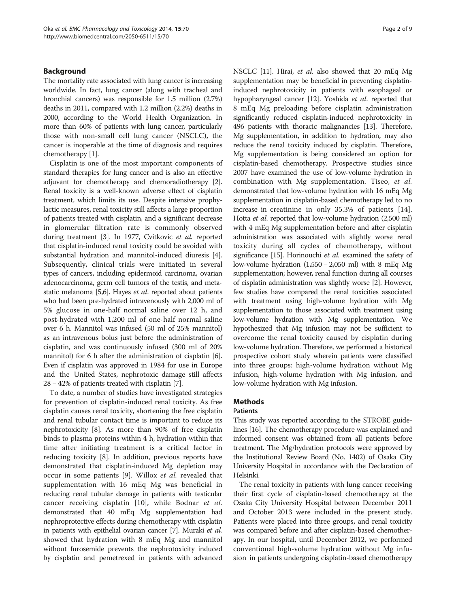### Background

The mortality rate associated with lung cancer is increasing worldwide. In fact, lung cancer (along with tracheal and bronchial cancers) was responsible for 1.5 million (2.7%) deaths in 2011, compared with 1.2 million (2.2%) deaths in 2000, according to the World Health Organization. In more than 60% of patients with lung cancer, particularly those with non-small cell lung cancer (NSCLC), the cancer is inoperable at the time of diagnosis and requires chemotherapy [\[1](#page-7-0)].

Cisplatin is one of the most important components of standard therapies for lung cancer and is also an effective adjuvant for chemotherapy and chemoradiotherapy [[2](#page-7-0)]. Renal toxicity is a well-known adverse effect of cisplatin treatment, which limits its use. Despite intensive prophylactic measures, renal toxicity still affects a large proportion of patients treated with cisplatin, and a significant decrease in glomerular filtration rate is commonly observed during treatment [\[3](#page-7-0)]. In 1977, Cvitkovic et al. reported that cisplatin-induced renal toxicity could be avoided with substantial hydration and mannitol-induced diuresis [[4](#page-7-0)]. Subsequently, clinical trials were initiated in several types of cancers, including epidermoid carcinoma, ovarian adenocarcinoma, germ cell tumors of the testis, and meta-static melanoma [[5,6](#page-7-0)]. Hayes et al. reported about patients who had been pre-hydrated intravenously with 2,000 ml of 5% glucose in one-half normal saline over 12 h, and post-hydrated with 1,200 ml of one-half normal saline over 6 h. Mannitol was infused (50 ml of 25% mannitol) as an intravenous bolus just before the administration of cisplatin, and was continuously infused (300 ml of 20% mannitol) for 6 h after the administration of cisplatin [[6](#page-7-0)]. Even if cisplatin was approved in 1984 for use in Europe and the United States, nephrotoxic damage still affects 28 − 42% of patients treated with cisplatin [\[7\]](#page-7-0).

To date, a number of studies have investigated strategies for prevention of cisplatin-induced renal toxicity. As free cisplatin causes renal toxicity, shortening the free cisplatin and renal tubular contact time is important to reduce its nephrotoxicity [[8\]](#page-7-0). As more than 90% of free cisplatin binds to plasma proteins within 4 h, hydration within that time after initiating treatment is a critical factor in reducing toxicity [\[8](#page-7-0)]. In addition, previous reports have demonstrated that cisplatin-induced Mg depletion may occur in some patients [[9\]](#page-7-0). Willox et al. revealed that supplementation with 16 mEq Mg was beneficial in reducing renal tubular damage in patients with testicular cancer receiving cisplatin [[10](#page-7-0)], while Bodnar et al. demonstrated that 40 mEq Mg supplementation had nephroprotective effects during chemotherapy with cisplatin in patients with epithelial ovarian cancer [\[7\]](#page-7-0). Muraki et al. showed that hydration with 8 mEq Mg and mannitol without furosemide prevents the nephrotoxicity induced by cisplatin and pemetrexed in patients with advanced NSCLC [\[11](#page-7-0)]. Hirai, et al. also showed that 20 mEq Mg supplementation may be beneficial in preventing cisplatininduced nephrotoxicity in patients with esophageal or hypopharyngeal cancer [[12](#page-7-0)]. Yoshida et al. reported that 8 mEq Mg preloading before cisplatin administration significantly reduced cisplatin-induced nephrotoxicity in 496 patients with thoracic malignancies [\[13\]](#page-7-0). Therefore, Mg supplementation, in addition to hydration, may also reduce the renal toxicity induced by cisplatin. Therefore, Mg supplementation is being considered an option for cisplatin-based chemotherapy. Prospective studies since 2007 have examined the use of low-volume hydration in combination with Mg supplementation. Tiseo, et al. demonstrated that low-volume hydration with 16 mEq Mg supplementation in cisplatin-based chemotherapy led to no increase in creatinine in only 35.3% of patients [\[14](#page-8-0)]. Hotta et al. reported that low-volume hydration (2,500 ml) with 4 mEq Mg supplementation before and after cisplatin administration was associated with slightly worse renal toxicity during all cycles of chemotherapy, without significance [[15](#page-8-0)]. Horinouchi et al. examined the safety of low-volume hydration (1,550 − 2,050 ml) with 8 mEq Mg supplementation; however, renal function during all courses of cisplatin administration was slightly worse [\[2\]](#page-7-0). However, few studies have compared the renal toxicities associated with treatment using high-volume hydration with Mg supplementation to those associated with treatment using low-volume hydration with Mg supplementation. We hypothesized that Mg infusion may not be sufficient to overcome the renal toxicity caused by cisplatin during low-volume hydration. Therefore, we performed a historical prospective cohort study wherein patients were classified into three groups: high-volume hydration without Mg infusion, high-volume hydration with Mg infusion, and low-volume hydration with Mg infusion.

#### Methods

#### Patients

This study was reported according to the STROBE guidelines [\[16](#page-8-0)]. The chemotherapy procedure was explained and informed consent was obtained from all patients before treatment. The Mg/hydration protocols were approved by the Institutional Review Board (No. 1402) of Osaka City University Hospital in accordance with the Declaration of Helsinki.

The renal toxicity in patients with lung cancer receiving their first cycle of cisplatin-based chemotherapy at the Osaka City University Hospital between December 2011 and October 2013 were included in the present study. Patients were placed into three groups, and renal toxicity was compared before and after cisplatin-based chemotherapy. In our hospital, until December 2012, we performed conventional high-volume hydration without Mg infusion in patients undergoing cisplatin-based chemotherapy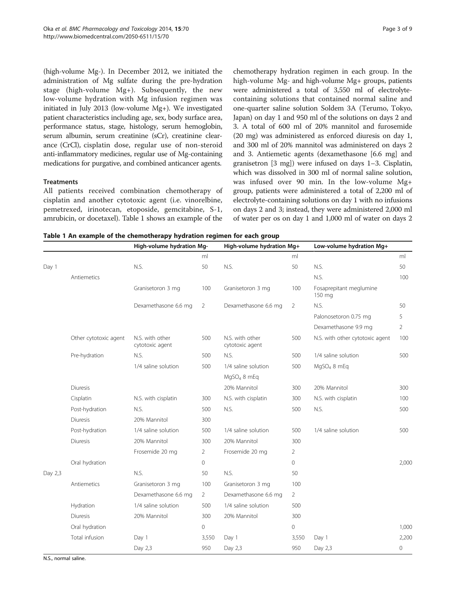(high-volume Mg-). In December 2012, we initiated the

administration of Mg sulfate during the pre-hydration stage (high-volume Mg+). Subsequently, the new low-volume hydration with Mg infusion regimen was initiated in July 2013 (low-volume Mg+). We investigated patient characteristics including age, sex, body surface area, performance status, stage, histology, serum hemoglobin, serum albumin, serum creatinine (sCr), creatinine clearance (CrCl), cisplatin dose, regular use of non-steroid anti-inflammatory medicines, regular use of Mg-containing medications for purgative, and combined anticancer agents.

### **Treatments**

All patients received combination chemotherapy of cisplatin and another cytotoxic agent (i.e. vinorelbine, pemetrexed, irinotecan, etoposide, gemcitabine, S-1, amrubicin, or docetaxel). Table 1 shows an example of the

chemotherapy hydration regimen in each group. In the high-volume Mg- and high-volume Mg+ groups, patients were administered a total of 3,550 ml of electrolytecontaining solutions that contained normal saline and one-quarter saline solution Soldem 3A (Terumo, Tokyo, Japan) on day 1 and 950 ml of the solutions on days 2 and 3. A total of 600 ml of 20% mannitol and furosemide (20 mg) was administered as enforced diuresis on day 1, and 300 ml of 20% mannitol was administered on days 2 and 3. Antiemetic agents (dexamethasone [6.6 mg] and granisetron [3 mg]) were infused on days 1–3. Cisplatin, which was dissolved in 300 ml of normal saline solution, was infused over 90 min. In the low-volume Mg+ group, patients were administered a total of 2,200 ml of electrolyte-containing solutions on day 1 with no infusions on days 2 and 3; instead, they were administered 2,000 ml of water per os on day 1 and 1,000 ml of water on days 2

Table 1 An example of the chemotherapy hydration regimen for each group

|         |                       | High-volume hydration Mg-          |          | High-volume hydration Mg+          |                | Low-volume hydration Mg+          |       |
|---------|-----------------------|------------------------------------|----------|------------------------------------|----------------|-----------------------------------|-------|
|         |                       |                                    | ml       |                                    | ml             |                                   | ml    |
| Day 1   |                       | N.S.                               | 50       | N.S.                               | 50             | N.S.                              | 50    |
|         | Antiemetics           |                                    |          |                                    |                | N.S.                              | 100   |
|         |                       | Granisetoron 3 mg                  | 100      | Granisetoron 3 mg                  | 100            | Fosaprepitant meglumine<br>150 mg |       |
|         |                       | Dexamethasone 6.6 mg               | 2        | Dexamethasone 6.6 mg               | 2              | N.S.                              | 50    |
|         |                       |                                    |          |                                    |                | Palonosetoron 0.75 mg             | 5     |
|         |                       |                                    |          |                                    |                | Dexamethasone 9.9 mg              | 2     |
|         | Other cytotoxic agent | N.S. with other<br>cytotoxic agent | 500      | N.S. with other<br>cytotoxic agent | 500            | N.S. with other cytotoxic agent   | 100   |
|         | Pre-hydration         | N.S.                               | 500      | N.S.                               | 500            | 1/4 saline solution               | 500   |
|         |                       | 1/4 saline solution                | 500      | 1/4 saline solution                | 500            | MgSO <sub>4</sub> 8 mEg           |       |
|         |                       |                                    |          | MgSO <sub>4</sub> 8 mEq            |                |                                   |       |
|         | <b>Diuresis</b>       |                                    |          | 20% Mannitol                       | 300            | 20% Mannitol                      | 300   |
|         | Cisplatin             | N.S. with cisplatin                | 300      | N.S. with cisplatin                | 300            | N.S. with cisplatin               | 100   |
|         | Post-hydration        | N.S.                               | 500      | N.S.                               | 500            | N.S.                              | 500   |
|         | <b>Diuresis</b>       | 20% Mannitol                       | 300      |                                    |                |                                   |       |
|         | Post-hydration        | 1/4 saline solution                | 500      | 1/4 saline solution                | 500            | 1/4 saline solution               | 500   |
|         | <b>Diuresis</b>       | 20% Mannitol                       | 300      | 20% Mannitol                       | 300            |                                   |       |
|         |                       | Frosemide 20 mg                    | 2        | Frosemide 20 mg                    | 2              |                                   |       |
|         | Oral hydration        |                                    | $\Omega$ |                                    | $\Omega$       |                                   | 2,000 |
| Day 2,3 |                       | N.S.                               | 50       | N.S.                               | 50             |                                   |       |
|         | Antiemetics           | Granisetoron 3 mg                  | 100      | Granisetoron 3 mg                  | 100            |                                   |       |
|         |                       | Dexamethasone 6.6 mg               | 2        | Dexamethasone 6.6 mg               | $\overline{2}$ |                                   |       |
|         | Hydration             | 1/4 saline solution                | 500      | 1/4 saline solution                | 500            |                                   |       |
|         | <b>Diuresis</b>       | 20% Mannitol                       | 300      | 20% Mannitol                       | 300            |                                   |       |
|         | Oral hydration        |                                    | $\circ$  |                                    | 0              |                                   | 1,000 |
|         | Total infusion        | Day 1                              | 3,550    | Day 1                              | 3,550          | Day 1                             | 2,200 |
|         |                       | Day 2,3                            | 950      | Day 2,3                            | 950            | Day 2,3                           | 0     |

N.S., normal saline.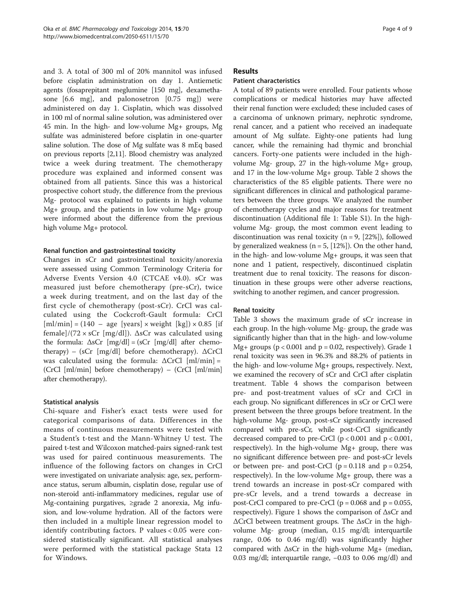and 3. A total of 300 ml of 20% mannitol was infused before cisplatin administration on day 1. Antiemetic agents (fosaprepitant meglumine [150 mg], dexamethasone [6.6 mg], and palonosetron [0.75 mg]) were administered on day 1. Cisplatin, which was dissolved in 100 ml of normal saline solution, was administered over 45 min. In the high- and low-volume Mg+ groups, Mg sulfate was administered before cisplatin in one-quarter saline solution. The dose of Mg sulfate was 8 mEq based on previous reports [\[2,11\]](#page-7-0). Blood chemistry was analyzed twice a week during treatment. The chemotherapy procedure was explained and informed consent was obtained from all patients. Since this was a historical prospective cohort study, the difference from the previous Mg- protocol was explained to patients in high volume Mg+ group, and the patients in low volume Mg+ group were informed about the difference from the previous high volume Mg+ protocol.

# Renal function and gastrointestinal toxicity

Changes in sCr and gastrointestinal toxicity/anorexia were assessed using Common Terminology Criteria for Adverse Events Version 4.0 (CTCAE v4.0). sCr was measured just before chemotherapy (pre-sCr), twice a week during treatment, and on the last day of the first cycle of chemotherapy (post-sCr). CrCl was calculated using the Cockcroft-Gault formula: CrCl  $[ml/min] = (140 - age [years] \times weight [kg]) \times 0.85 [if]$ female]/(72  $\times$  sCr [mg/dl]).  $\Delta$ sCr was calculated using the formula:  $\Delta sCr$  [mg/dl] = (sCr [mg/dl] after chemotherapy) – (sCr [mg/dl] before chemotherapy).  $\Delta$ CrCl was calculated using the formula: ΔCrCl [ml/min] = (CrCl [ml/min] before chemotherapy) – (CrCl [ml/min] after chemotherapy).

# Statistical analysis

Chi-square and Fisher's exact tests were used for categorical comparisons of data. Differences in the means of continuous measurements were tested with a Student's t-test and the Mann-Whitney U test. The paired t-test and Wilcoxon matched-pairs signed-rank test was used for paired continuous measurements. The influence of the following factors on changes in CrCl were investigated on univariate analysis: age, sex, performance status, serum albumin, cisplatin dose, regular use of non-steroid anti-inflammatory medicines, regular use of Mg-containing purgatives, ≥grade 2 anorexia, Mg infusion, and low-volume hydration. All of the factors were then included in a multiple linear regression model to identify contributing factors. P values < 0.05 were considered statistically significant. All statistical analyses were performed with the statistical package Stata 12 for Windows.

## Results

# Patient characteristics

A total of 89 patients were enrolled. Four patients whose complications or medical histories may have affected their renal function were excluded; these included cases of a carcinoma of unknown primary, nephrotic syndrome, renal cancer, and a patient who received an inadequate amount of Mg sulfate. Eighty-one patients had lung cancer, while the remaining had thymic and bronchial cancers. Forty-one patients were included in the highvolume Mg- group, 27 in the high-volume Mg+ group, and 17 in the low-volume Mg+ group. Table [2](#page-4-0) shows the characteristics of the 85 eligible patients. There were no significant differences in clinical and pathological parameters between the three groups. We analyzed the number of chemotherapy cycles and major reasons for treatment discontinuation (Additional file [1:](#page-7-0) Table S1). In the highvolume Mg- group, the most common event leading to discontinuation was renal toxicity ( $n = 9$ , [22%]), followed by generalized weakness ( $n = 5$ , [12%]). On the other hand, in the high- and low-volume Mg+ groups, it was seen that none and 1 patient, respectively, discontinued cisplatin treatment due to renal toxicity. The reasons for discontinuation in these groups were other adverse reactions, switching to another regimen, and cancer progression.

# Renal toxicity

Table [3](#page-5-0) shows the maximum grade of sCr increase in each group. In the high-volume Mg- group, the grade was significantly higher than that in the high- and low-volume Mg+ groups ( $p < 0.001$  and  $p = 0.02$ , respectively). Grade 1 renal toxicity was seen in 96.3% and 88.2% of patients in the high- and low-volume Mg+ groups, respectively. Next, we examined the recovery of sCr and CrCl after cisplatin treatment. Table [4](#page-5-0) shows the comparison between pre- and post-treatment values of sCr and CrCl in each group. No significant differences in sCr or CrCl were present between the three groups before treatment. In the high-volume Mg- group, post-sCr significantly increased compared with pre-sCr, while post-CrCl significantly decreased compared to pre-CrCl  $(p < 0.001$  and  $p < 0.001$ , respectively). In the high-volume Mg+ group, there was no significant difference between pre- and post-sCr levels or between pre- and post-CrCl ( $p = 0.118$  and  $p = 0.254$ , respectively). In the low-volume Mg+ group, there was a trend towards an increase in post-sCr compared with pre-sCr levels, and a trend towards a decrease in post-CrCl compared to pre-CrCl ( $p = 0.068$  and  $p = 0.055$ , respectively). Figure [1](#page-6-0) shows the comparison of ΔsCr and ΔCrCl between treatment groups. The ΔsCr in the highvolume Mg- group (median, 0.15 mg/dl; interquartile range, 0.06 to 0.46 mg/dl) was significantly higher compared with ΔsCr in the high-volume Mg+ (median, 0.03 mg/dl; interquartile range, −0.03 to 0.06 mg/dl) and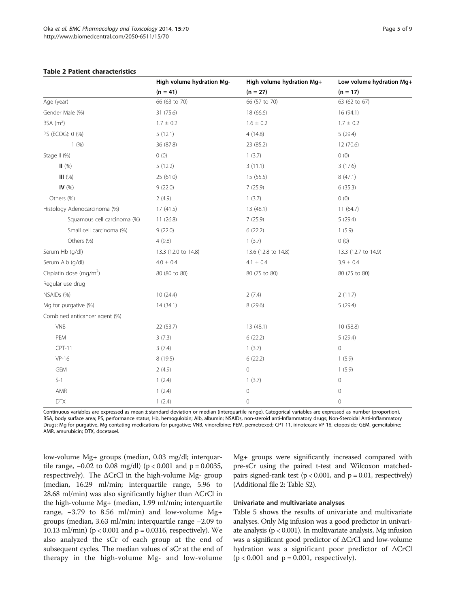<span id="page-4-0"></span>

|                                     | High volume hydration Mg- | High volume hydration Mg+ | Low volume hydration Mg+ |
|-------------------------------------|---------------------------|---------------------------|--------------------------|
|                                     | $(n = 41)$                | $(n = 27)$                | $(n = 17)$               |
| Age (year)                          | 66 (63 to 70)             | 66 (57 to 70)             | 63 (62 to 67)            |
| Gender Male (%)                     | 31 (75.6)                 | 18 (66.6)                 | 16 (94.1)                |
| BSA $(m^2)$                         | $1.7 \pm 0.2$             | $1.6 \pm 0.2$             | $1.7 \pm 0.2$            |
| PS (ECOG): 0 (%)                    | 5(12.1)                   | 4(14.8)                   | 5(29.4)                  |
| 1(%)                                | 36 (87.8)                 | 23 (85.2)                 | 12 (70.6)                |
| Stage $\mid$ (%)                    | 0(0)                      | 1(3.7)                    | 0(0)                     |
| $\Pi$ (%)                           | 5(12.2)                   | 3(11.1)                   | 3(17.6)                  |
| III(%)                              | 25 (61.0)                 | 15 (55.5)                 | 8(47.1)                  |
| IV $(\% )$                          | 9(22.0)                   | 7(25.9)                   | 6(35.3)                  |
| Others (%)                          | 2(4.9)                    | 1(3.7)                    | 0(0)                     |
| Histology Adenocarcinoma (%)        | 17(41.5)                  | 13 (48.1)                 | 11(64.7)                 |
| Squamous cell carcinoma (%)         | 11(26.8)                  | 7(25.9)                   | 5(29.4)                  |
| Small cell carcinoma (%)            | 9(22.0)                   | 6(22.2)                   | 1(5.9)                   |
| Others (%)                          | 4(9.8)                    | 1(3.7)                    | 0(0)                     |
| Serum Hb (g/dl)                     | 13.3 (12.0 to 14.8)       | 13.6 (12.8 to 14.8)       | 13.3 (12.7 to 14.9)      |
| Serum Alb (g/dl)                    | $4.0 \pm 0.4$             | $4.1 \pm 0.4$             | $3.9 \pm 0.4$            |
| Cisplatin dose (mg/m <sup>2</sup> ) | 80 (80 to 80)             | 80 (75 to 80)             | 80 (75 to 80)            |
| Regular use drug                    |                           |                           |                          |
| NSAIDs (%)                          | 10(24.4)                  | 2(7.4)                    | 2(11.7)                  |
| Mg for purgative (%)                | 14(34.1)                  | 8 (29.6)                  | 5(29.4)                  |
| Combined anticancer agent (%)       |                           |                           |                          |
| <b>VNB</b>                          | 22 (53.7)                 | 13 (48.1)                 | 10 (58.8)                |
| PEM                                 | 3(7.3)                    | 6(22.2)                   | 5(29.4)                  |
| CPT-11                              | 3(7.4)                    | 1(3.7)                    | $\mathbf 0$              |
| $VP-16$                             | 8 (19.5)                  | 6(22.2)                   | 1(5.9)                   |
| <b>GEM</b>                          | 2(4.9)                    | $\mathbf 0$               | 1(5.9)                   |
| $S-1$                               | 1(2.4)                    | 1(3.7)                    | $\mathbb O$              |
| AMR                                 | 1(2.4)                    | $\mathbf 0$               | $\mathsf{O}\xspace$      |
| <b>DTX</b>                          | 1(2.4)                    | $\mathbf 0$               | $\mathbf 0$              |

Continuous variables are expressed as mean ± standard deviation or median (interquartile range). Categorical variables are expressed as number (proportion). BSA, body surface area; PS, performance status; Hb, hemogulobin; Alb, albumin; NSAIDs, non-steroid anti-Inflammatory drugs; Non-Steroidal Anti-Inflammatory Drugs; Mg for purgative, Mg-contating medications for purgative; VNB, vinorelbine; PEM, pemetrexed; CPT-11, irinotecan; VP-16, etoposide; GEM, gemcitabine; AMR, amurubicin; DTX, docetaxel.

low-volume Mg+ groups (median, 0.03 mg/dl; interquartile range,  $-0.02$  to 0.08 mg/dl) (p < 0.001 and p = 0.0035, respectively). The  $\Delta$ CrCl in the high-volume Mg- group (median, 16.29 ml/min; interquartile range, 5.96 to 28.68 ml/min) was also significantly higher than ΔCrCl in the high-volume Mg+ (median, 1.99 ml/min; interquartile range, −3.79 to 8.56 ml/min) and low-volume Mg+ groups (median, 3.63 ml/min; interquartile range −2.09 to 10.13 ml/min) ( $p < 0.001$  and  $p = 0.0316$ , respectively). We also analyzed the sCr of each group at the end of subsequent cycles. The median values of sCr at the end of therapy in the high-volume Mg- and low-volume

Mg+ groups were significantly increased compared with pre-sCr using the paired t-test and Wilcoxon matchedpairs signed-rank test ( $p < 0.001$ , and  $p = 0.01$ , respectively) (Additional file [2:](#page-7-0) Table S2).

#### Univariate and multivariate analyses

Table [5](#page-6-0) shows the results of univariate and multivariate analyses. Only Mg infusion was a good predictor in univariate analysis (p < 0.001). In multivariate analysis, Mg infusion was a significant good predictor of ΔCrCl and low-volume hydration was a significant poor predictor of ΔCrCl  $(p < 0.001$  and  $p = 0.001$ , respectively).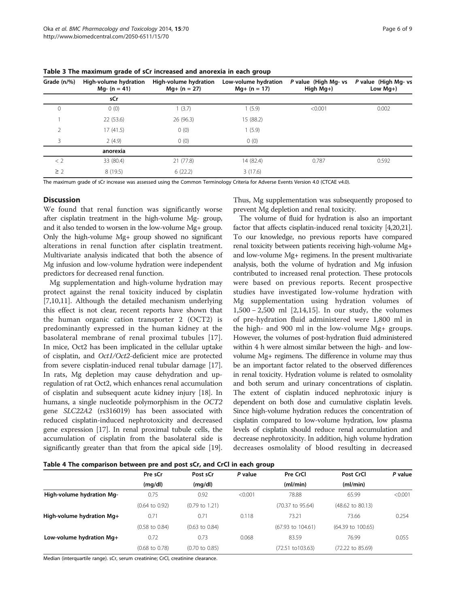| Grade (n/%)    | High-volume hydration<br>$Mq - (n = 41)$ | High-volume hydration<br>$Mg+ (n = 27)$ | Low-volume hydration<br>$Mg+ (n = 17)$ | P value (High Mg- vs<br>High $Mg+$ ) | P value (High Mg- vs<br>Low $Mq+$ ) |
|----------------|------------------------------------------|-----------------------------------------|----------------------------------------|--------------------------------------|-------------------------------------|
|                | sCr                                      |                                         |                                        |                                      |                                     |
| 0              | 0(0)                                     | 1(3.7)                                  | 1(5.9)                                 | < 0.001                              | 0.002                               |
|                | 22(53.6)                                 | 26 (96.3)                               | 15 (88.2)                              |                                      |                                     |
| $\mathfrak{D}$ | 17 (41.5)                                | 0(0)                                    | 1(5.9)                                 |                                      |                                     |
| 3              | 2(4.9)                                   | 0(0)                                    | 0(0)                                   |                                      |                                     |
|                | anorexia                                 |                                         |                                        |                                      |                                     |
| < 2            | 33 (80.4)                                | 21(77.8)                                | 14 (82.4)                              | 0.787                                | 0.592                               |
| $\geq$ 2       | 8(19.5)                                  | 6(22.2)                                 | 3(17.6)                                |                                      |                                     |

<span id="page-5-0"></span>Table 3 The maximum grade of sCr increased and anorexia in each group

The maximum grade of sCr increase was assessed using the Common Terminology Criteria for Adverse Events Version 4.0 (CTCAE v4.0).

#### **Discussion**

We found that renal function was significantly worse after cisplatin treatment in the high-volume Mg- group, and it also tended to worsen in the low-volume Mg+ group. Only the high-volume Mg+ group showed no significant alterations in renal function after cisplatin treatment. Multivariate analysis indicated that both the absence of Mg infusion and low-volume hydration were independent predictors for decreased renal function.

Mg supplementation and high-volume hydration may protect against the renal toxicity induced by cisplatin [[7,10,11\]](#page-7-0). Although the detailed mechanism underlying this effect is not clear, recent reports have shown that the human organic cation transporter 2 (OCT2) is predominantly expressed in the human kidney at the basolateral membrane of renal proximal tubules [\[17](#page-8-0)]. In mice, Oct2 has been implicated in the cellular uptake of cisplatin, and Oct1/Oct2-deficient mice are protected from severe cisplatin-induced renal tubular damage [[17](#page-8-0)]. In rats, Mg depletion may cause dehydration and upregulation of rat Oct2, which enhances renal accumulation of cisplatin and subsequent acute kidney injury [[18](#page-8-0)]. In humans, a single nucleotide polymorphism in the OCT2 gene SLC22A2 (rs316019) has been associated with reduced cisplatin-induced nephrotoxicity and decreased gene expression [[17\]](#page-8-0). In renal proximal tubule cells, the accumulation of cisplatin from the basolateral side is significantly greater than that from the apical side [[19](#page-8-0)]. Thus, Mg supplementation was subsequently proposed to prevent Mg depletion and renal toxicity.

The volume of fluid for hydration is also an important factor that affects cisplatin-induced renal toxicity [\[4,](#page-7-0)[20,21](#page-8-0)]. To our knowledge, no previous reports have compared renal toxicity between patients receiving high-volume Mg+ and low-volume Mg+ regimens. In the present multivariate analysis, both the volume of hydration and Mg infusion contributed to increased renal protection. These protocols were based on previous reports. Recent prospective studies have investigated low-volume hydration with Mg supplementation using hydration volumes of 1,500 − 2,500 ml [[2](#page-7-0)[,14](#page-8-0),[15\]](#page-8-0). In our study, the volumes of pre-hydration fluid administered were 1,800 ml in the high- and 900 ml in the low-volume Mg+ groups. However, the volumes of post-hydration fluid administered within 4 h were almost similar between the high- and lowvolume Mg+ regimens. The difference in volume may thus be an important factor related to the observed differences in renal toxicity. Hydration volume is related to osmolality and both serum and urinary concentrations of cisplatin. The extent of cisplatin induced nephrotoxic injury is dependent on both dose and cumulative cisplatin levels. Since high-volume hydration reduces the concentration of cisplatin compared to low-volume hydration, low plasma levels of cisplatin should reduce renal accumulation and decrease nephrotoxicity. In addition, high volume hydration decreases osmolality of blood resulting in decreased

Table 4 The comparison between pre and post sCr, and CrCl in each group

|                           | Pre sCr                   | Post sCr                  | P value | Pre CrCl                     | Post CrCl                    | P value |
|---------------------------|---------------------------|---------------------------|---------|------------------------------|------------------------------|---------|
|                           | (mq/dl)                   | (mq/dl)                   |         | (ml/min)                     | (ml/min)                     |         |
| High-volume hydration Mg- | 0.75                      | 0.92                      | < 0.001 | 78.88                        | 65.99                        | < 0.001 |
|                           | $(0.64 \text{ to } 0.92)$ | $(0.79 \text{ to } 1.21)$ |         | (70.37 to 95.64)             | $(48.62 \text{ to } 80.13)$  |         |
| High-volume hydration Mg+ | 0.71                      | 0.71                      | 0.118   | 73.21                        | 73.66                        | 0.254   |
|                           | $(0.58 \text{ to } 0.84)$ | $(0.63 \text{ to } 0.84)$ |         | $(67.93 \text{ to } 104.61)$ | $(64.39 \text{ to } 100.65)$ |         |
| Low-volume hydration Mg+  | 0.72                      | 0.73                      | 0.068   | 83.59                        | 76.99                        | 0.055   |
|                           | $(0.68 \text{ to } 0.78)$ | $(0.70 \text{ to } 0.85)$ |         | (72.51 to 103.63)            | (72.22 to 85.69)             |         |

Median (interquartile range). sCr, serum creatinine; CrCl, creatinine clearance.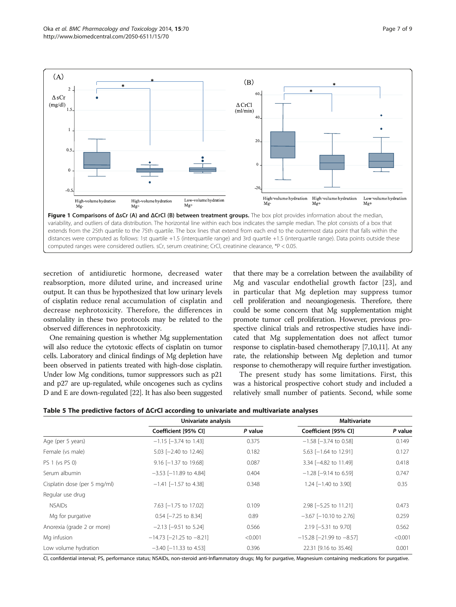<span id="page-6-0"></span>

secretion of antidiuretic hormone, decreased water reabsorption, more diluted urine, and increased urine output. It can thus be hypothesized that low urinary levels of cisplatin reduce renal accumulation of cisplatin and decrease nephrotoxicity. Therefore, the differences in osmolality in these two protocols may be related to the observed differences in nephrotoxicity.

One remaining question is whether Mg supplementation will also reduce the cytotoxic effects of cisplatin on tumor cells. Laboratory and clinical findings of Mg depletion have been observed in patients treated with high-dose cisplatin. Under low Mg conditions, tumor suppressors such as p21 and p27 are up-regulated, while oncogenes such as cyclins D and E are down-regulated [[22](#page-8-0)]. It has also been suggested

that there may be a correlation between the availability of Mg and vascular endothelial growth factor [[23\]](#page-8-0), and in particular that Mg depletion may suppress tumor cell proliferation and neoangiogenesis. Therefore, there could be some concern that Mg supplementation might promote tumor cell proliferation. However, previous prospective clinical trials and retrospective studies have indicated that Mg supplementation does not affect tumor response to cisplatin-based chemotherapy [\[7,10,11\]](#page-7-0). At any rate, the relationship between Mg depletion and tumor response to chemotherapy will require further investigation.

The present study has some limitations. First, this was a historical prospective cohort study and included a relatively small number of patients. Second, while some

| Table 5 The predictive factors of $\Delta$ CrCl according to univariate and multivariate analyses |  |  |  |  |  |
|---------------------------------------------------------------------------------------------------|--|--|--|--|--|
|---------------------------------------------------------------------------------------------------|--|--|--|--|--|

|                              | Univariate analysis                |         | <b>Maltivariate</b>              |         |
|------------------------------|------------------------------------|---------|----------------------------------|---------|
|                              | Coefficient [95% CI]               | P value | Coefficient [95% CI]             | P value |
| Age (per 5 years)            | $-1.15$ [ $-3.74$ to 1.43]         | 0.375   | $-1.58$ [ $-3.74$ to 0.58]       | 0.149   |
| Female (vs male)             | $5.03$ $[-2.40 \text{ to } 12.46]$ | 0.182   | $5.63$ $[-1.64$ to 12.91]        | 0.127   |
| PS 1 (vs PS 0)               | $9.16$ [-1.37 to 19.68]            | 0.087   | 3.34 [-4.82 to 11.49]            | 0.418   |
| Serum albumin                | $-3.53$ [ $-11.89$ to 4.84]        | 0.404   | $-1.28$ [ $-9.14$ to 6.59]       | 0.747   |
| Cisplatin dose (per 5 mg/ml) | $-1.41$ [-1.57 to 4.38]            | 0.348   | 1.24 $[-1.40$ to 3.90]           | 0.35    |
| Regular use drug             |                                    |         |                                  |         |
| <b>NSAIDs</b>                | 7.63 [-1.75 to 17.02]              | 0.109   | 2.98 [-5.25 to 11.21]            | 0.473   |
| Mg for purgative             | $0.54$ $[-7.25$ to 8.34]           | 0.89    | $-3.67$ [ $-10.10$ to 2.76]      | 0.259   |
| Anorexia (grade 2 or more)   | $-2.13$ [ $-9.51$ to 5.24]         | 0.566   | 2.19 [-5.31 to 9.70]             | 0.562   |
| Mg infusion                  | $-14.73$ [-21.25 to -8.21]         | < 0.001 | $-15.28$ [ $-21.99$ to $-8.57$ ] | < 0.001 |
| Low volume hydration         | $-3.40$ [ $-11.33$ to 4.53]        | 0.396   | 22.31 [9.16 to 35.46]            | 0.001   |

CI, confidential interval; PS, performance status; NSAIDs, non-steroid anti-Inflammatory drugs; Mg for purgative, Magnesium containing medications for purgative.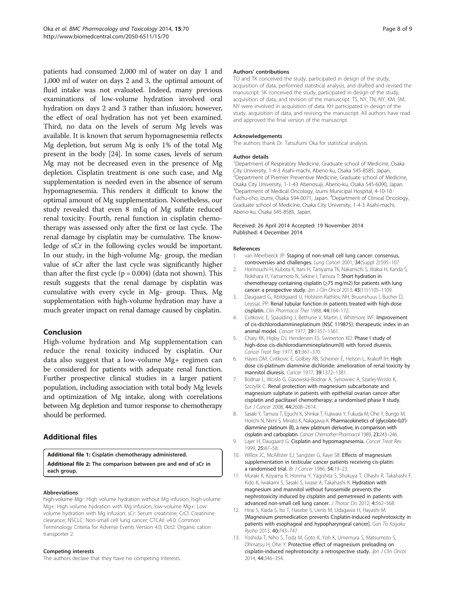<span id="page-7-0"></span>patients had consumed 2,000 ml of water on day 1 and 1,000 ml of water on days 2 and 3, the optimal amount of fluid intake was not evaluated. Indeed, many previous examinations of low-volume hydration involved oral hydration on days 2 and 3 rather than infusion; however, the effect of oral hydration has not yet been examined. Third, no data on the levels of serum Mg levels was available. It is known that serum hypomagnesemia reflects Mg depletion, but serum Mg is only 1% of the total Mg present in the body [\[24\]](#page-8-0). In some cases, levels of serum Mg may not be decreased even in the presence of Mg depletion. Cisplatin treatment is one such case, and Mg supplementation is needed even in the absence of serum hypomagnesemia. This renders it difficult to know the optimal amount of Mg supplementation. Nonetheless, our study revealed that even 8 mEq of Mg sulfate reduced renal toxicity. Fourth, renal function in cisplatin chemotherapy was assessed only after the first or last cycle. The renal damage by cisplatin may be cumulative. The knowledge of sCr in the following cycles would be important. In our study, in the high-volume Mg- group, the median value of sCr after the last cycle was significantly higher than after the first cycle  $(p = 0.004)$  (data not shown). This result suggests that the renal damage by cisplatin was cumulative with every cycle in Mg- group. Thus, Mg supplementation with high-volume hydration may have a much greater impact on renal damage caused by cisplatin.

# Conclusion

High-volume hydration and Mg supplementation can reduce the renal toxicity induced by cisplatin. Our data also suggest that a low-volume Mg+ regimen can be considered for patients with adequate renal function. Further prospective clinical studies in a larger patient population, including association with total body Mg levels and optimization of Mg intake, along with correlations between Mg depletion and tumor response to chemotherapy should be performed.

# Additional files

[Additional file 1:](http://www.biomedcentral.com/content/supplementary/2050-6511-15-70-S1.doc) Cisplatin chemotherapy administered.

[Additional file 2:](http://www.biomedcentral.com/content/supplementary/2050-6511-15-70-S2.doc) The comparison between pre and end of sCr in each group.

#### Abbreviations

high-volume Mg-: High volume hydration without Mg infusion; high-volume Mg+: High volume hydration with Mg infusion; low-volume Mg+: Low volume hydration with Mg infusion; sCr: Serum creatinine; CrCl: Creatinine clearance; NSCLC: Non-small cell lung cancer; CTCAE v4.0: Common Terminology Criteria for Adverse Events Version 4.0; Oct2: Organic cation transporter 2.

#### Competing interests

The authors declare that they have no competing interests.

#### Authors' contributions

TO and TK conceived the study, participated in design of the study, acquisition of data, performed statistical analysis, and drafted and revised the manuscript. SK conceived the study, participated in design of the study, acquisition of data, and revision of the manuscript. TS, NY, TN, NY, KM, SM, NY were involved in acquisition of data. KH participated in design of the study, acquisition of data, and revising the manuscript. All authors have read and approved the final version of the manuscript.

# Acknowledgements

The authors thank Dr. Tatsufumi Oka for statistical analysis.

# Author details

<sup>1</sup>Department of Respiratory Medicine, Graduate school of Medicine, Osaka City University, 1-4-3 Asahi-machi, Abeno-ku, Osaka 545-8585, Japan. <sup>2</sup> Department of Premier Preventive Medicine, Graduate school of Medicine Osaka City University, 1-1-43 Abenosuji, Abeno-ku, Osaka 545-6090, Japan. <sup>3</sup> Department of Medical Oncology, Izumi Municipal Hospital, 4-10-10 Fuchu-cho, Izumi, Osaka 594-0071, Japan. <sup>4</sup>Department of Clinical Oncology, Graduate school of Medicine, Osaka City University, 1-4-3 Asahi-machi, Abeno-ku, Osaka 545-8585, Japan.

#### Received: 26 April 2014 Accepted: 19 November 2014 Published: 4 December 2014

#### References

- 1. van Meerbeeck JP: Staging of non-small cell lung cancer: consensus, controversies and challenges. Lung Cancer 2001, 34(Suppl 2):S95–107.
- 2. Horinouchi H, Kubota K, Itani H, Taniyama TK, Nakamichi S, Wakui H, Kanda S, Nokihara H, Yamamoto N, Sekine I, Tamura T: Short hydration in chemotherapy containing cisplatin (≥75 mg/m2) for patients with lung cancer: a prospective study. Jpn J Clin Oncol 2013, 43(11):1105-1109.
- 3. Daugaard G, Abildgaard U, Holstein-Rathlou NH, Bruunshuus I, Bucher D, Leyssac PP: Renal tubular function in patients treated with high-dose cisplatin. Clin Pharmacol Ther 1988, 44:164–172.
- 4. Cvitkovic E, Spaulding J, Bethune V, Martin J, Whitmore WF: Improvement of cis-dichlorodiammineplatinum (NSC 119875): therapeutic index in an animal model. Cancer 1977, 39:1357–1361.
- 5. Chary KK, Higby DJ, Henderson ES, Swinerton KD: Phase I study of high-dose cis-dichlorodiammineplatinum(II) with forced diuresis. Cancer Treat Rep 1977, 61:367–370.
- 6. Hayes DM, Cvitkovic E, Golbey RB, Scheiner E, Helson L, Krakoff IH: High dose cis-platinum diammine dichloride: amelioration of renal toxicity by mannitol diuresis. Cancer 1977, 39:1372–1381.
- 7. Bodnar L, Wcislo G, Gasowska-Bodnar A, Synowiec A, Szarlej-Wcislo K, Szczylik C: Renal protection with magnesium subcarbonate and magnesium sulphate in patients with epithelial ovarian cancer after cisplatin and paclitaxel chemotherapy: a randomised phase II study. Eur J Cancer 2008, 44:2608–2614.
- 8. Sasaki Y, Tamura T, Eguchi K, Shinkai T, Fujiwara Y, Fukuda M, Ohe Y, Bungo M, Horichi N, Niimi S, Minato K, Nakagawa K: Pharmacokinetics of (glycolate-0,0')diammine platinum (II), a new platinum derivative, in comparison with cisplatin and carboplatin. Cancer Chemother Pharmacol 1989, 23:243–246.
- 9. Lajer H, Daugaard G: Cisplatin and hypomagnesemia. Cancer Treat Rev 1999, 25:47–58.
- 10. Willox JC, McAllister EJ, Sangster G, Kaye SB: Effects of magnesium supplementation in testicular cancer patients receiving cis-platin: a randomised trial. Br J Cancer 1986, 54:19-23.
- 11. Muraki K, Koyama R, Honma Y, Yagishita S, Shukuya T, Ohashi R, Takahashi F, Kido K, Iwakami S, Sasaki S, Iwase A, Takahashi K: Hydration with magnesium and mannitol without furosemide prevents the nephrotoxicity induced by cisplatin and pemetrexed in patients with advanced non-small cell lung cancer. J Thorac Dis 2012, 4:562-568.
- 12. Hirai S, Kaida S, Ito T, Hasebe S, Ueno M, Udagawa H, Hayashi M: [Magnesium premedication prevents Cisplatin-induced nephrotoxicity in patients with esophageal and hypopharyngeal cancer]. Gan To Kagaku Ryoho 2013, 40:743–747.
- 13. Yoshida T, Niho S, Toda M, Goto K, Yoh K, Umemura S, Matsumoto S, Ohmatsu H, Ohe Y: Protective effect of magnesium preloading on cisplatin-induced nephrotoxicity: a retrospective study. Jpn J Clin Oncol 2014, 44:346–354.